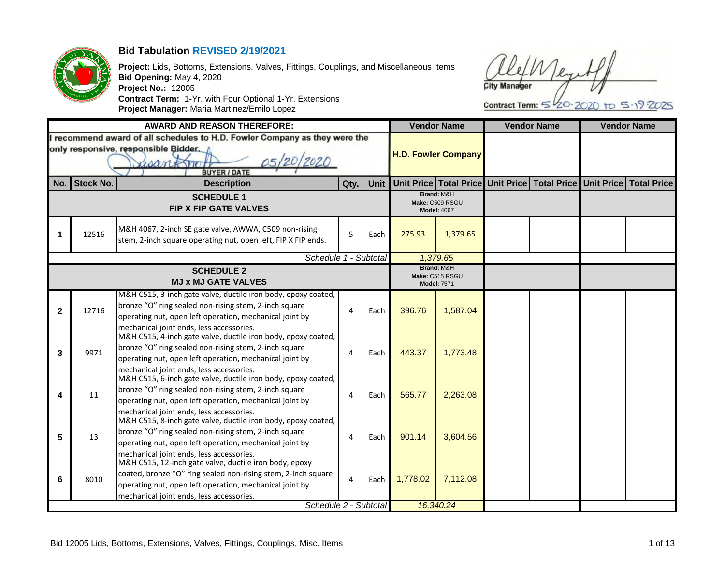

## **Bid Tabulation REVISED 2/19/2021**

**Project:** Lids, Bottoms, Extensions, Valves, Fittings, Couplings, and Miscellaneous Items **Bid Opening:** May 4, 2020 **Project No.:** 12005 **Contract Term:** 1-Yr. with Four Optional 1-Yr. Extensions **Project Manager:** Maria Martinez/Emilo Lopez

**City Manager** 

Contract Term:  $5\frac{1}{20.2020}$  to  $5.192025$ 

|              |                  | <b>AWARD AND REASON THEREFORE:</b>                                                                                                                                                                                                                      |      |      |          | <b>Vendor Name</b>                                  | <b>Vendor Name</b>                                                             | <b>Vendor Name</b> |
|--------------|------------------|---------------------------------------------------------------------------------------------------------------------------------------------------------------------------------------------------------------------------------------------------------|------|------|----------|-----------------------------------------------------|--------------------------------------------------------------------------------|--------------------|
|              |                  | recommend award of all schedules to H.D. Fowler Company as they were the<br>only responsive, responsible Bidder.<br>05/20/2020<br>santono<br><b>BUYER / DATE</b>                                                                                        |      |      |          | <b>H.D. Fowler Company</b>                          |                                                                                |                    |
| No.          | <b>Stock No.</b> | <b>Description</b>                                                                                                                                                                                                                                      | Qty. | Unit |          |                                                     | Unit Price   Total Price   Unit Price   Total Price   Unit Price   Total Price |                    |
|              |                  | <b>SCHEDULE 1</b><br><b>FIP X FIP GATE VALVES</b>                                                                                                                                                                                                       |      |      |          | Brand: M&H<br>Make: C509 RSGU<br><b>Model: 4067</b> |                                                                                |                    |
| 1            | 12516            | M&H 4067, 2-inch SE gate valve, AWWA, C509 non-rising<br>stem, 2-inch square operating nut, open left, FIP X FIP ends.                                                                                                                                  | 5    | Each | 275.93   | 1,379.65                                            |                                                                                |                    |
|              |                  | Schedule 1 - Subtotal                                                                                                                                                                                                                                   |      |      |          | 1,379.65                                            |                                                                                |                    |
|              |                  | <b>SCHEDULE 2</b><br><b>MJ x MJ GATE VALVES</b>                                                                                                                                                                                                         |      |      |          | Brand: M&H<br>Make: C515 RSGU<br><b>Model: 7571</b> |                                                                                |                    |
| $\mathbf{2}$ | 12716            | M&H C515, 3-inch gate valve, ductile iron body, epoxy coated,<br>bronze "O" ring sealed non-rising stem, 2-inch square<br>operating nut, open left operation, mechanical joint by<br>mechanical joint ends, less accessories.                           | 4    | Each | 396.76   | 1,587.04                                            |                                                                                |                    |
| 3            | 9971             | M&H C515, 4-inch gate valve, ductile iron body, epoxy coated,<br>bronze "O" ring sealed non-rising stem, 2-inch square<br>operating nut, open left operation, mechanical joint by<br>mechanical joint ends. less accessories.                           | 4    | Each | 443.37   | 1,773.48                                            |                                                                                |                    |
| 4            | 11               | M&H C515, 6-inch gate valve, ductile iron body, epoxy coated,<br>bronze "O" ring sealed non-rising stem, 2-inch square<br>operating nut, open left operation, mechanical joint by<br>mechanical joint ends, less accessories.                           | 4    | Each | 565.77   | 2,263.08                                            |                                                                                |                    |
| 5            | 13               | M&H C515, 8-inch gate valve, ductile iron body, epoxy coated,<br>bronze "O" ring sealed non-rising stem, 2-inch square<br>operating nut, open left operation, mechanical joint by<br>mechanical joint ends, less accessories.                           | 4    | Each | 901.14   | 3,604.56                                            |                                                                                |                    |
| 6            | 8010             | M&H C515, 12-inch gate valve, ductile iron body, epoxy<br>coated, bronze "O" ring sealed non-rising stem, 2-inch square<br>operating nut, open left operation, mechanical joint by<br>mechanical joint ends, less accessories.<br>Schedule 2 - Subtotal | 4    | Each | 1,778.02 | 7,112.08                                            |                                                                                |                    |
|              |                  |                                                                                                                                                                                                                                                         |      |      |          | 16,340.24                                           |                                                                                |                    |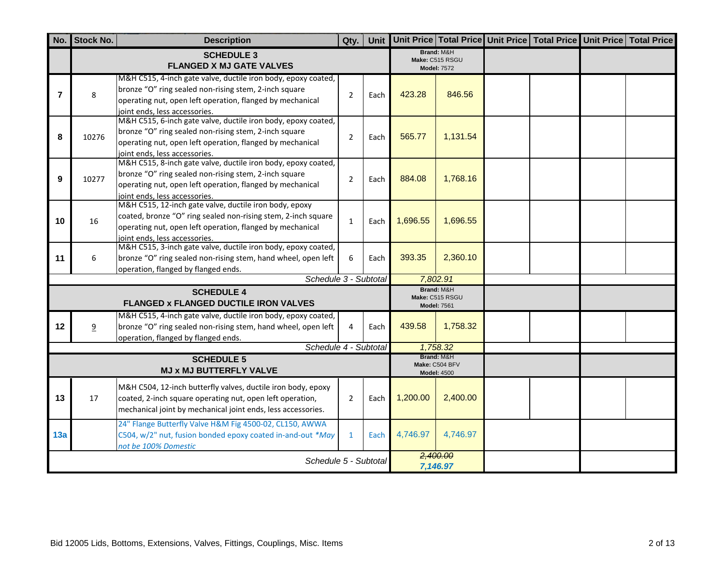| No.            | <b>Stock No.</b>                                                                                                                                                                                                            | <b>Description</b>                                                                                                                                                                                                   | Qty.           | Unit |          |                                                     | Unit Price Total Price Unit Price Total Price Unit Price Total Price |  |
|----------------|-----------------------------------------------------------------------------------------------------------------------------------------------------------------------------------------------------------------------------|----------------------------------------------------------------------------------------------------------------------------------------------------------------------------------------------------------------------|----------------|------|----------|-----------------------------------------------------|----------------------------------------------------------------------|--|
|                |                                                                                                                                                                                                                             | <b>SCHEDULE 3</b><br><b>FLANGED X MJ GATE VALVES</b>                                                                                                                                                                 |                |      |          | Brand: M&H<br>Make: C515 RSGU<br><b>Model: 7572</b> |                                                                      |  |
| $\overline{7}$ | 8                                                                                                                                                                                                                           | M&H C515, 4-inch gate valve, ductile iron body, epoxy coated,<br>bronze "O" ring sealed non-rising stem, 2-inch square<br>operating nut, open left operation, flanged by mechanical<br>joint ends, less accessories. | $\overline{2}$ | Each | 423.28   | 846.56                                              |                                                                      |  |
| 8              | 10276                                                                                                                                                                                                                       | M&H C515, 6-inch gate valve, ductile iron body, epoxy coated,<br>bronze "O" ring sealed non-rising stem, 2-inch square<br>operating nut, open left operation, flanged by mechanical<br>joint ends, less accessories. | $\overline{2}$ | Each | 565.77   | 1,131.54                                            |                                                                      |  |
| 9              | 10277                                                                                                                                                                                                                       | M&H C515, 8-inch gate valve, ductile iron body, epoxy coated,<br>bronze "O" ring sealed non-rising stem, 2-inch square<br>operating nut, open left operation, flanged by mechanical<br>joint ends, less accessories. | $\overline{2}$ | Each | 884.08   | 1,768.16                                            |                                                                      |  |
| 10             | M&H C515, 12-inch gate valve, ductile iron body, epoxy<br>coated, bronze "O" ring sealed non-rising stem, 2-inch square<br>16<br>operating nut, open left operation, flanged by mechanical<br>joint ends, less accessories. |                                                                                                                                                                                                                      |                |      | 1,696.55 | 1,696.55                                            |                                                                      |  |
| 11             | 6                                                                                                                                                                                                                           | M&H C515, 3-inch gate valve, ductile iron body, epoxy coated,<br>bronze "O" ring sealed non-rising stem, hand wheel, open left<br>operation, flanged by flanged ends.                                                | 6              | Each | 393.35   | 2,360.10                                            |                                                                      |  |
|                |                                                                                                                                                                                                                             | Schedule 3 - Subtotal                                                                                                                                                                                                |                |      |          | 7,802.91<br>Brand: M&H                              |                                                                      |  |
|                |                                                                                                                                                                                                                             | <b>SCHEDULE 4</b><br>FLANGED x FLANGED DUCTILE IRON VALVES                                                                                                                                                           |                |      |          | Make: C515 RSGU<br><b>Model: 7561</b>               |                                                                      |  |
| 12             | 9                                                                                                                                                                                                                           | M&H C515, 4-inch gate valve, ductile iron body, epoxy coated,<br>bronze "O" ring sealed non-rising stem, hand wheel, open left<br>operation, flanged by flanged ends.                                                | 4              | Each | 439.58   | 1,758.32                                            |                                                                      |  |
|                |                                                                                                                                                                                                                             | Schedule 4 - Subtotal                                                                                                                                                                                                |                |      |          | 1,758.32<br>Brand: M&H                              |                                                                      |  |
|                |                                                                                                                                                                                                                             | <b>SCHEDULE 5</b><br>MJ x MJ BUTTERFLY VALVE                                                                                                                                                                         |                |      |          | Make: C504 BFV<br><b>Model: 4500</b>                |                                                                      |  |
| 13             | 17                                                                                                                                                                                                                          | M&H C504, 12-inch butterfly valves, ductile iron body, epoxy<br>coated, 2-inch square operating nut, open left operation,<br>mechanical joint by mechanical joint ends, less accessories.                            | $\overline{2}$ | Each | 1,200.00 | 2,400.00                                            |                                                                      |  |
| 13a            | 24" Flange Butterfly Valve H&M Fig 4500-02, CL150, AWWA<br>C504, w/2" nut, fusion bonded epoxy coated in-and-out *May<br>not be 100% Domestic                                                                               |                                                                                                                                                                                                                      |                |      | 4,746.97 | 4,746.97                                            |                                                                      |  |
|                |                                                                                                                                                                                                                             | Schedule 5 - Subtotal                                                                                                                                                                                                |                |      |          | 2,400.00<br>7,146.97                                |                                                                      |  |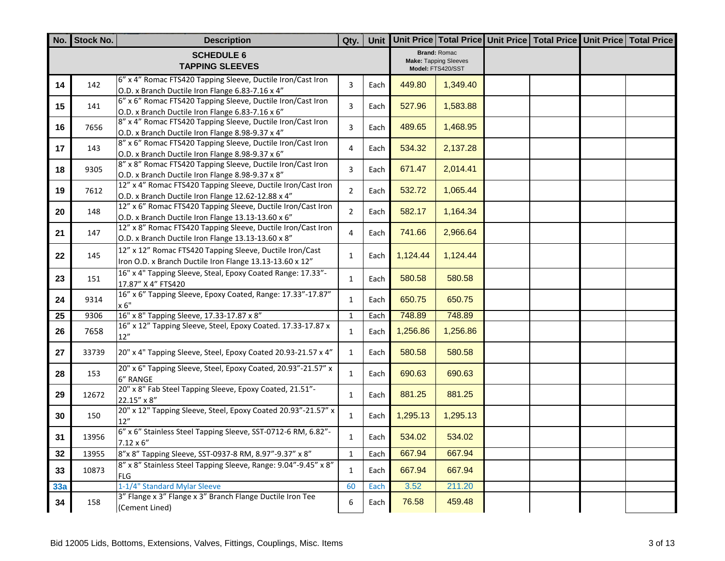|                 | No. Stock No. | <b>Description</b>                                                                                                   | Qty.                    |      |          |                                                                          | Unit Unit Price Total Price Unit Price Total Price Unit Price Total Price |  |
|-----------------|---------------|----------------------------------------------------------------------------------------------------------------------|-------------------------|------|----------|--------------------------------------------------------------------------|---------------------------------------------------------------------------|--|
|                 |               | <b>SCHEDULE 6</b><br><b>TAPPING SLEEVES</b>                                                                          |                         |      |          | <b>Brand: Romac</b><br><b>Make: Tapping Sleeves</b><br>Model: FTS420/SST |                                                                           |  |
| 14              | 142           | 6" x 4" Romac FTS420 Tapping Sleeve, Ductile Iron/Cast Iron<br>O.D. x Branch Ductile Iron Flange 6.83-7.16 x 4"      | 3                       | Each | 449.80   | 1,349.40                                                                 |                                                                           |  |
| 15              | 141           | 6" x 6" Romac FTS420 Tapping Sleeve, Ductile Iron/Cast Iron<br>O.D. x Branch Ductile Iron Flange 6.83-7.16 x 6"      | $\overline{\mathbf{3}}$ | Each | 527.96   | 1,583.88                                                                 |                                                                           |  |
| 16              | 7656          | 8" x 4" Romac FTS420 Tapping Sleeve, Ductile Iron/Cast Iron<br>O.D. x Branch Ductile Iron Flange 8.98-9.37 x 4"      | 3                       | Each | 489.65   | 1,468.95                                                                 |                                                                           |  |
| 17              | 143           | 8" x 6" Romac FTS420 Tapping Sleeve, Ductile Iron/Cast Iron<br>O.D. x Branch Ductile Iron Flange 8.98-9.37 x 6"      | $\overline{4}$          | Each | 534.32   | 2,137.28                                                                 |                                                                           |  |
| 18              | 9305          | 8" x 8" Romac FTS420 Tapping Sleeve, Ductile Iron/Cast Iron<br>O.D. x Branch Ductile Iron Flange 8.98-9.37 x 8"      | 3                       | Each | 671.47   | 2,014.41                                                                 |                                                                           |  |
| 19              | 7612          | 12" x 4" Romac FTS420 Tapping Sleeve, Ductile Iron/Cast Iron<br>O.D. x Branch Ductile Iron Flange 12.62-12.88 x 4"   | $\overline{2}$          | Each | 532.72   | 1,065.44                                                                 |                                                                           |  |
| 20              | 148           | 12" x 6" Romac FTS420 Tapping Sleeve, Ductile Iron/Cast Iron<br>O.D. x Branch Ductile Iron Flange 13.13-13.60 x 6"   | $\overline{2}$          | Each | 582.17   | 1,164.34                                                                 |                                                                           |  |
| 21              | 147           | 12" x 8" Romac FTS420 Tapping Sleeve, Ductile Iron/Cast Iron<br>O.D. x Branch Ductile Iron Flange 13.13-13.60 x 8"   | $\overline{4}$          | Each | 741.66   | 2,966.64                                                                 |                                                                           |  |
| 22              | 145           | 12" x 12" Romac FTS420 Tapping Sleeve, Ductile Iron/Cast<br>Iron O.D. x Branch Ductile Iron Flange 13.13-13.60 x 12" | $\mathbf{1}$            | Each | 1,124.44 | 1,124.44                                                                 |                                                                           |  |
| 23              | 151           | 16" x 4" Tapping Sleeve, Steal, Epoxy Coated Range: 17.33"-<br>17.87" X 4" FTS420                                    | $\mathbf{1}$            | Each | 580.58   | 580.58                                                                   |                                                                           |  |
| 24              | 9314          | 16" x 6" Tapping Sleeve, Epoxy Coated, Range: 17.33"-17.87"<br>x 6"                                                  | $\mathbf{1}$            | Each | 650.75   | 650.75                                                                   |                                                                           |  |
| $\overline{25}$ | 9306          | 16" x 8" Tapping Sleeve, 17.33-17.87 x 8"                                                                            | $\mathbf{1}$            | Each | 748.89   | 748.89                                                                   |                                                                           |  |
| 26              | 7658          | 16" x 12" Tapping Sleeve, Steel, Epoxy Coated. 17.33-17.87 x<br>12"                                                  | $\mathbf{1}$            | Each | 1,256.86 | 1,256.86                                                                 |                                                                           |  |
| 27              | 33739         | 20" x 4" Tapping Sleeve, Steel, Epoxy Coated 20.93-21.57 x 4"                                                        | $\mathbf{1}$            | Each | 580.58   | 580.58                                                                   |                                                                           |  |
| 28              | 153           | 20" x 6" Tapping Sleeve, Steel, Epoxy Coated, 20.93"-21.57" x<br>6" RANGE                                            | $\mathbf{1}$            | Each | 690.63   | 690.63                                                                   |                                                                           |  |
| 29              | 12672         | 20" x 8" Fab Steel Tapping Sleeve, Epoxy Coated, 21.51"-<br>22.15" x 8"                                              | $\mathbf{1}$            | Each | 881.25   | 881.25                                                                   |                                                                           |  |
| 30              | 150           | 20" x 12" Tapping Sleeve, Steel, Epoxy Coated 20.93"-21.57" x<br>12"                                                 | $\mathbf{1}$            | Each | 1,295.13 | 1,295.13                                                                 |                                                                           |  |
| 31              | 13956         | 6" x 6" Stainless Steel Tapping Sleeve, SST-0712-6 RM, 6.82"-<br>$7.12 \times 6''$                                   | $\mathbf{1}$            | Each | 534.02   | 534.02                                                                   |                                                                           |  |
| 32              | 13955         | 8"x 8" Tapping Sleeve, SST-0937-8 RM, 8.97"-9.37" x 8"                                                               | $\mathbf{1}$            | Each | 667.94   | 667.94                                                                   |                                                                           |  |
| 33              | 10873         | 8" x 8" Stainless Steel Tapping Sleeve, Range: 9.04"-9.45" x 8"<br><b>FLG</b>                                        | $\mathbf{1}$            | Each | 667.94   | 667.94                                                                   |                                                                           |  |
| 33a             |               | 1-1/4" Standard Mylar Sleeve                                                                                         | 60                      | Each | 3.52     | 211.20                                                                   |                                                                           |  |
| 34              | 158           | 3" Flange x 3" Flange x 3" Branch Flange Ductile Iron Tee<br>(Cement Lined)                                          | 6                       | Each | 76.58    | 459.48                                                                   |                                                                           |  |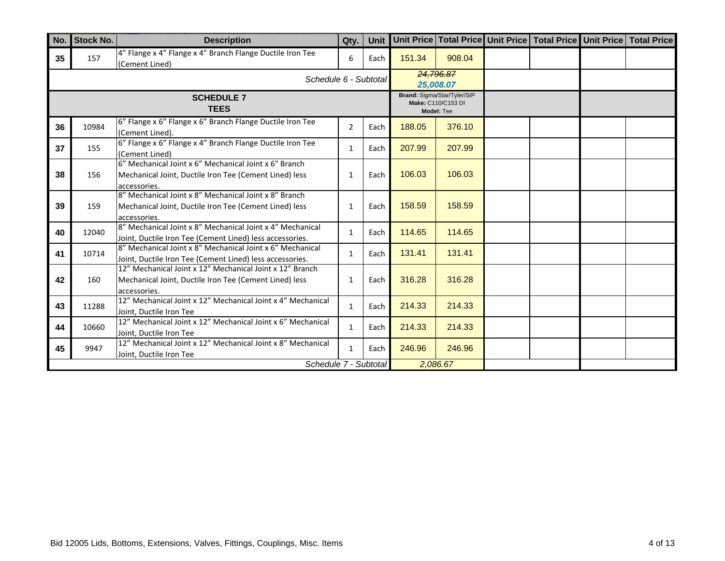| No. | <b>Stock No.</b> | <b>Description</b>                                                                                                                 | Qty.           | <b>Unit</b> |        |                                                                 | Unit Price Total Price Unit Price Total Price Unit Price Total Price |  |
|-----|------------------|------------------------------------------------------------------------------------------------------------------------------------|----------------|-------------|--------|-----------------------------------------------------------------|----------------------------------------------------------------------|--|
| 35  | 157              | 4" Flange x 4" Flange x 4" Branch Flange Ductile Iron Tee<br>(Cement Lined)                                                        | 6              | Each        | 151.34 | 908.04                                                          |                                                                      |  |
|     |                  | Schedule 6 - Subtotal                                                                                                              |                |             |        | 24,796.87<br>25,008.07                                          |                                                                      |  |
|     |                  | <b>SCHEDULE 7</b><br><b>TEES</b>                                                                                                   |                |             |        | Brand: Sigma/Star/Tyler/SIP<br>Make: C110/C153 DI<br>Model: Tee |                                                                      |  |
| 36  | 10984            | 6" Flange x 6" Flange x 6" Branch Flange Ductile Iron Tee<br>(Cement Lined).                                                       | $\overline{2}$ | Each        | 188.05 | 376.10                                                          |                                                                      |  |
| 37  | 155              | 6" Flange x 6" Flange x 4" Branch Flange Ductile Iron Tee<br>(Cement Lined)                                                        | $\mathbf{1}$   | Each        | 207.99 | 207.99                                                          |                                                                      |  |
| 38  | 156              | 6" Mechanical Joint x 6" Mechanical Joint x 6" Branch<br>Mechanical Joint, Ductile Iron Tee (Cement Lined) less<br>accessories.    | 1              | Each        | 106.03 | 106.03                                                          |                                                                      |  |
| 39  | 159              | 8" Mechanical Joint x 8" Mechanical Joint x 8" Branch<br>Mechanical Joint, Ductile Iron Tee (Cement Lined) less<br>accessories.    | $\mathbf{1}$   | Each        | 158.59 | 158.59                                                          |                                                                      |  |
| 40  | 12040            | 8" Mechanical Joint x 8" Mechanical Joint x 4" Mechanical<br>Joint, Ductile Iron Tee (Cement Lined) less accessories.              | $\mathbf{1}$   | Each        | 114.65 | 114.65                                                          |                                                                      |  |
| 41  | 10714            | 8" Mechanical Joint x 8" Mechanical Joint x 6" Mechanical<br>Joint, Ductile Iron Tee (Cement Lined) less accessories.              | $\mathbf{1}$   | Each        | 131.41 | 131.41                                                          |                                                                      |  |
| 42  | 160              | 12" Mechanical Joint x 12" Mechanical Joint x 12" Branch<br>Mechanical Joint, Ductile Iron Tee (Cement Lined) less<br>accessories. | $\mathbf{1}$   | Each        | 316.28 | 316.28                                                          |                                                                      |  |
| 43  | 11288            | 12" Mechanical Joint x 12" Mechanical Joint x 4" Mechanical<br>Joint, Ductile Iron Tee                                             | $\mathbf{1}$   | Each        | 214.33 | 214.33                                                          |                                                                      |  |
| 44  | 10660            | 12" Mechanical Joint x 12" Mechanical Joint x 6" Mechanical<br>Joint. Ductile Iron Tee                                             | $\mathbf{1}$   | Each        | 214.33 | 214.33                                                          |                                                                      |  |
| 45  | 9947             | 12" Mechanical Joint x 12" Mechanical Joint x 8" Mechanical<br>Joint, Ductile Iron Tee                                             | $\mathbf{1}$   | Each        | 246.96 | 246.96                                                          |                                                                      |  |
|     |                  | Schedule 7 - Subtotal                                                                                                              |                |             |        | 2,086.67                                                        |                                                                      |  |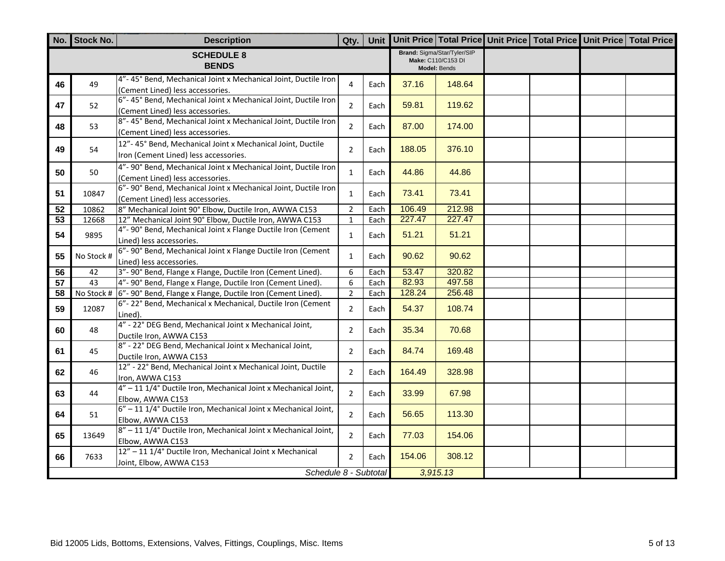|                 | No. Stock No. | <b>Description</b>                                                                                  | Qty.           |      |        |                                                                   | Unit Unit Price Total Price Unit Price Total Price Unit Price Total Price |  |
|-----------------|---------------|-----------------------------------------------------------------------------------------------------|----------------|------|--------|-------------------------------------------------------------------|---------------------------------------------------------------------------|--|
|                 |               | <b>SCHEDULE 8</b><br><b>BENDS</b>                                                                   |                |      |        | Brand: Sigma/Star/Tyler/SIP<br>Make: C110/C153 DI<br>Model: Bends |                                                                           |  |
| 46              | 49            | 4"-45° Bend, Mechanical Joint x Mechanical Joint, Ductile Iron<br>(Cement Lined) less accessories.  | 4              | Each | 37.16  | 148.64                                                            |                                                                           |  |
| 47              | 52            | 6"-45° Bend, Mechanical Joint x Mechanical Joint, Ductile Iron<br>(Cement Lined) less accessories.  | $\overline{2}$ | Each | 59.81  | 119.62                                                            |                                                                           |  |
| 48              | 53            | 8"-45° Bend, Mechanical Joint x Mechanical Joint, Ductile Iron<br>(Cement Lined) less accessories.  | $\overline{2}$ | Each | 87.00  | 174.00                                                            |                                                                           |  |
| 49              | 54            | 12"-45° Bend, Mechanical Joint x Mechanical Joint, Ductile<br>Iron (Cement Lined) less accessories. | $\overline{2}$ | Each | 188.05 | 376.10                                                            |                                                                           |  |
| 50              | 50            | 4"- 90° Bend, Mechanical Joint x Mechanical Joint, Ductile Iron<br>(Cement Lined) less accessories. | $\mathbf{1}$   | Each | 44.86  | 44.86                                                             |                                                                           |  |
| 51              | 10847         | 6"- 90° Bend, Mechanical Joint x Mechanical Joint, Ductile Iron<br>(Cement Lined) less accessories. | $\mathbf{1}$   | Each | 73.41  | 73.41                                                             |                                                                           |  |
| 52              | 10862         | 8" Mechanical Joint 90° Elbow, Ductile Iron, AWWA C153                                              | $\overline{2}$ | Each | 106.49 | 212.98                                                            |                                                                           |  |
| 53              | 12668         | 12" Mechanical Joint 90° Elbow, Ductile Iron, AWWA C153                                             | $\mathbf{1}$   | Each | 227.47 | 227.47                                                            |                                                                           |  |
| 54              | 9895          | 4"- 90° Bend, Mechanical Joint x Flange Ductile Iron (Cement<br>Lined) less accessories.            | $\mathbf{1}$   | Each | 51.21  | 51.21                                                             |                                                                           |  |
| 55              | No Stock #    | 6"- 90° Bend, Mechanical Joint x Flange Ductile Iron (Cement<br>Lined) less accessories.            | $\mathbf{1}$   | Each | 90.62  | 90.62                                                             |                                                                           |  |
| $\overline{56}$ | 42            | 3"- 90° Bend, Flange x Flange, Ductile Iron (Cement Lined).                                         | 6              | Each | 53.47  | 320.82                                                            |                                                                           |  |
| 57              | 43            | 4"- 90° Bend, Flange x Flange, Ductile Iron (Cement Lined).                                         | 6              | Each | 82.93  | 497.58                                                            |                                                                           |  |
| 58              |               | No Stock # 6"-90° Bend, Flange x Flange, Ductile Iron (Cement Lined).                               | $\overline{2}$ | Each | 128.24 | 256.48                                                            |                                                                           |  |
| 59              | 12087         | 6"-22° Bend, Mechanical x Mechanical, Ductile Iron (Cement<br>Lined).                               | $\overline{2}$ | Each | 54.37  | 108.74                                                            |                                                                           |  |
| 60              | 48            | 4" - 22° DEG Bend, Mechanical Joint x Mechanical Joint,<br>Ductile Iron, AWWA C153                  | $\overline{2}$ | Each | 35.34  | 70.68                                                             |                                                                           |  |
| 61              | 45            | 8" - 22° DEG Bend, Mechanical Joint x Mechanical Joint,<br>Ductile Iron, AWWA C153                  | $\overline{2}$ | Each | 84.74  | 169.48                                                            |                                                                           |  |
| 62              | 46            | 12" - 22° Bend, Mechanical Joint x Mechanical Joint, Ductile<br>Iron, AWWA C153                     | $\overline{2}$ | Each | 164.49 | 328.98                                                            |                                                                           |  |
| 63              | 44            | $4'' - 111/4$ ° Ductile Iron, Mechanical Joint x Mechanical Joint,<br>Elbow, AWWA C153              | $\overline{2}$ | Each | 33.99  | 67.98                                                             |                                                                           |  |
| 64              | 51            | 6" - 11 1/4° Ductile Iron, Mechanical Joint x Mechanical Joint,<br>Elbow, AWWA C153                 | $\overline{2}$ | Each | 56.65  | 113.30                                                            |                                                                           |  |
| 65              | 13649         | 8" - 11 1/4° Ductile Iron, Mechanical Joint x Mechanical Joint,<br>Elbow, AWWA C153                 | $\overline{2}$ | Each | 77.03  | 154.06                                                            |                                                                           |  |
| 66              | 7633          | 12" - 11 1/4° Ductile Iron, Mechanical Joint x Mechanical<br>Joint, Elbow, AWWA C153                | $\overline{2}$ | Each | 154.06 | 308.12                                                            |                                                                           |  |
|                 |               | Schedule 8 - Subtotal                                                                               |                |      |        | 3,915.13                                                          |                                                                           |  |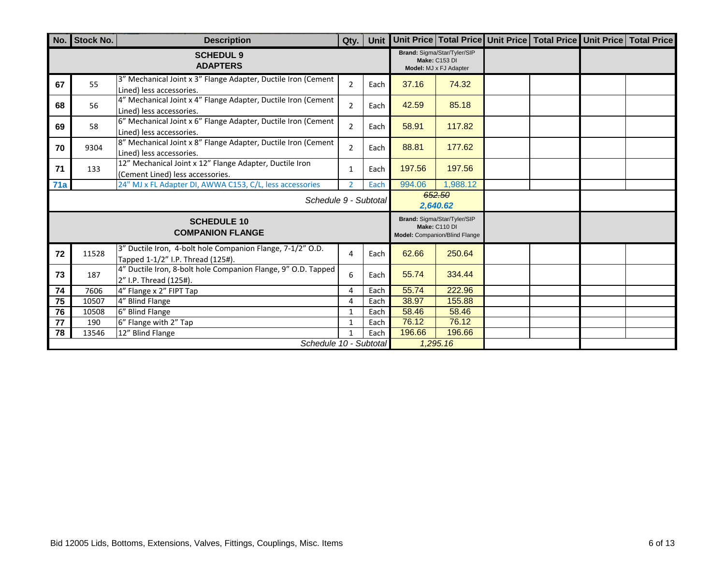|     | No. Stock No.             | <b>Description</b>                                                                              | Qty.                     |      |        |                                                                               |  | Unit   Unit Price   Total Price   Unit Price   Total Price   Unit Price   Total Price |
|-----|---------------------------|-------------------------------------------------------------------------------------------------|--------------------------|------|--------|-------------------------------------------------------------------------------|--|---------------------------------------------------------------------------------------|
|     |                           | <b>SCHEDUL 9</b><br><b>ADAPTERS</b>                                                             |                          |      |        | Brand: Sigma/Star/Tyler/SIP<br><b>Make: C153 DI</b><br>Model: MJ x FJ Adapter |  |                                                                                       |
| 67  | 55                        | 3" Mechanical Joint x 3" Flange Adapter, Ductile Iron (Cement<br>Lined) less accessories.       | $\overline{2}$           | Each | 37.16  | 74.32                                                                         |  |                                                                                       |
| 68  | 56                        | 4" Mechanical Joint x 4" Flange Adapter, Ductile Iron (Cement<br>Lined) less accessories.       | $\overline{2}$           | Each | 42.59  | 85.18                                                                         |  |                                                                                       |
| 69  | 58                        | 6" Mechanical Joint x 6" Flange Adapter, Ductile Iron (Cement<br>Lined) less accessories.       | $\overline{2}$           | Each | 58.91  | 117.82                                                                        |  |                                                                                       |
| 70  | 9304                      | 8" Mechanical Joint x 8" Flange Adapter, Ductile Iron (Cement<br>Lined) less accessories.       | $\overline{2}$           | Each | 88.81  | 177.62                                                                        |  |                                                                                       |
| 71  | 133                       | 12" Mechanical Joint x 12" Flange Adapter, Ductile Iron<br>(Cement Lined) less accessories.     | $\mathbf{1}$             | Each | 197.56 | 197.56                                                                        |  |                                                                                       |
| 71a |                           | 24" MJ x FL Adapter DI, AWWA C153, C/L, less accessories                                        | $\overline{\phantom{a}}$ | Each | 994.06 | 1,988.12                                                                      |  |                                                                                       |
|     |                           | Schedule 9 - Subtotal                                                                           |                          |      |        | 652.50<br>2,640.62                                                            |  |                                                                                       |
|     |                           | <b>SCHEDULE 10</b><br><b>COMPANION FLANGE</b>                                                   |                          |      |        | Brand: Sigma/Star/Tyler/SIP<br>Make: C110 DI<br>Model: Companion/Blind Flange |  |                                                                                       |
| 72  | 11528                     | 3" Ductile Iron, 4-bolt hole Companion Flange, 7-1/2" O.D.<br>Tapped 1-1/2" I.P. Thread (125#). | 4                        | Each | 62.66  | 250.64                                                                        |  |                                                                                       |
| 73  | 187                       | 4" Ductile Iron, 8-bolt hole Companion Flange, 9" O.D. Tapped<br>2" I.P. Thread (125#).         | 6                        | Each | 55.74  | 334.44                                                                        |  |                                                                                       |
| 74  | 7606                      | 4" Flange x 2" FIPT Tap                                                                         | 4                        | Each | 55.74  | 222.96                                                                        |  |                                                                                       |
| 75  | 10507                     | 4" Blind Flange                                                                                 | 4                        | Each | 38.97  | 155.88                                                                        |  |                                                                                       |
| 76  | 10508                     | 6" Blind Flange                                                                                 | $\mathbf{1}$             | Each | 58.46  | 58.46                                                                         |  |                                                                                       |
| 77  | 190                       | 6" Flange with 2" Tap                                                                           | 1<br>1                   | Each | 76.12  | 76.12                                                                         |  |                                                                                       |
| 78  | 12" Blind Flange<br>13546 |                                                                                                 |                          | Each | 196.66 | 196.66                                                                        |  |                                                                                       |
|     |                           | Schedule 10 - Subtotal                                                                          |                          |      |        | 1,295.16                                                                      |  |                                                                                       |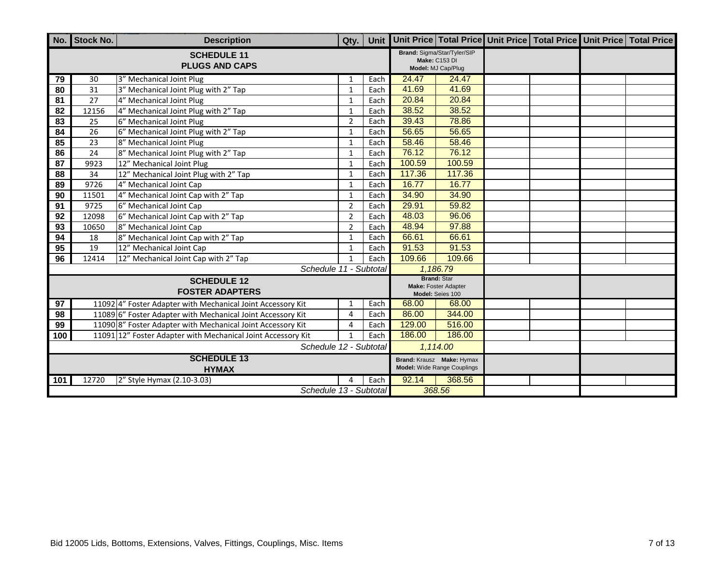|                 | No. Stock No.                      | <b>Description</b>                                           | Qty.           | Unit |        |                                                                    | Unit Price   Total Price   Unit Price   Total Price   Unit Price   Total Price |  |
|-----------------|------------------------------------|--------------------------------------------------------------|----------------|------|--------|--------------------------------------------------------------------|--------------------------------------------------------------------------------|--|
|                 |                                    | <b>SCHEDULE 11</b><br><b>PLUGS AND CAPS</b>                  |                |      |        | Brand: Sigma/Star/Tyler/SIP<br>Make: C153 DI<br>Model: MJ Cap/Plug |                                                                                |  |
| 79              | 30                                 | 3" Mechanical Joint Plug                                     | 1              | Each | 24.47  | 24.47                                                              |                                                                                |  |
| 80              | 31                                 | 3" Mechanical Joint Plug with 2" Tap                         | 1              | Each | 41.69  | 41.69                                                              |                                                                                |  |
| 81              | 27                                 | 4" Mechanical Joint Plug                                     | $\mathbf{1}$   | Each | 20.84  | 20.84                                                              |                                                                                |  |
| 82              | 12156                              | 4" Mechanical Joint Plug with 2" Tap                         | $\mathbf{1}$   | Each | 38.52  | 38.52                                                              |                                                                                |  |
| $\overline{83}$ | 25                                 | 6" Mechanical Joint Plug                                     | $\overline{2}$ | Each | 39.43  | 78.86                                                              |                                                                                |  |
| 84              | 26                                 | 6" Mechanical Joint Plug with 2" Tap                         | $\mathbf{1}$   | Each | 56.65  | 56.65                                                              |                                                                                |  |
| 85              | 23                                 | 8" Mechanical Joint Plug                                     | $\mathbf{1}$   | Each | 58.46  | 58.46                                                              |                                                                                |  |
| 86              | 24                                 | 8" Mechanical Joint Plug with 2" Tap                         | $\mathbf{1}$   | Each | 76.12  | 76.12                                                              |                                                                                |  |
| $\overline{87}$ | 9923                               | 12" Mechanical Joint Plug                                    | $\mathbf{1}$   | Each | 100.59 | 100.59                                                             |                                                                                |  |
| 88              | 34                                 | 12" Mechanical Joint Plug with 2" Tap                        | $\mathbf{1}$   | Each | 117.36 | 117.36                                                             |                                                                                |  |
| 89              | 9726                               | 4" Mechanical Joint Cap                                      | 1              | Each | 16.77  | 16.77                                                              |                                                                                |  |
| 90              | 11501                              | 4" Mechanical Joint Cap with 2" Tap                          | $\mathbf{1}$   | Each | 34.90  | 34.90                                                              |                                                                                |  |
| 91              | 9725                               | 6" Mechanical Joint Cap                                      | $\overline{2}$ | Each | 29.91  | 59.82                                                              |                                                                                |  |
| 92              | 12098                              | 6" Mechanical Joint Cap with 2" Tap                          | $\overline{2}$ | Each | 48.03  | 96.06                                                              |                                                                                |  |
| 93              | 10650                              | 8" Mechanical Joint Cap                                      | $\overline{2}$ | Each | 48.94  | 97.88                                                              |                                                                                |  |
| 94              | 18                                 | 8" Mechanical Joint Cap with 2" Tap                          | $\mathbf{1}$   | Each | 66.61  | 66.61                                                              |                                                                                |  |
| 95              | 19                                 | 12" Mechanical Joint Cap                                     | $\mathbf{1}$   | Each | 91.53  | 91.53                                                              |                                                                                |  |
| 96              | 12414                              | 12" Mechanical Joint Cap with 2" Tap                         | $\mathbf{1}$   | Each | 109.66 | 109.66                                                             |                                                                                |  |
|                 |                                    | Schedule 11 - Subtotal                                       |                |      |        | 1,186.79                                                           |                                                                                |  |
|                 |                                    | <b>SCHEDULE 12</b><br><b>FOSTER ADAPTERS</b>                 |                |      |        | <b>Brand: Star</b><br>Make: Foster Adapter<br>Model: Seies 100     |                                                                                |  |
| $\overline{97}$ |                                    | 11092 4" Foster Adapter with Mechanical Joint Accessory Kit  | 1              | Each | 68.00  | 68.00                                                              |                                                                                |  |
| 98              |                                    | 11089 6" Foster Adapter with Mechanical Joint Accessory Kit  | $\overline{4}$ | Each | 86.00  | 344.00                                                             |                                                                                |  |
| 99              |                                    | 110908" Foster Adapter with Mechanical Joint Accessory Kit   | 4              | Each | 129.00 | 516.00                                                             |                                                                                |  |
| 100             |                                    | 11091 12" Foster Adapter with Mechanical Joint Accessory Kit |                | Each | 186.00 | 186.00                                                             |                                                                                |  |
|                 |                                    | Schedule 12 - Subtotal                                       |                |      |        | 1,114.00                                                           |                                                                                |  |
|                 | <b>SCHEDULE 13</b><br><b>HYMAX</b> |                                                              |                |      |        | Brand: Krausz Make: Hymax<br>Model: Wide Range Couplings           |                                                                                |  |
| 101             | 12720                              | 2" Style Hymax (2.10-3.03)                                   |                | Each | 92.14  | 368.56                                                             |                                                                                |  |
|                 |                                    | Schedule 13 - Subtotal                                       |                |      |        | 368.56                                                             |                                                                                |  |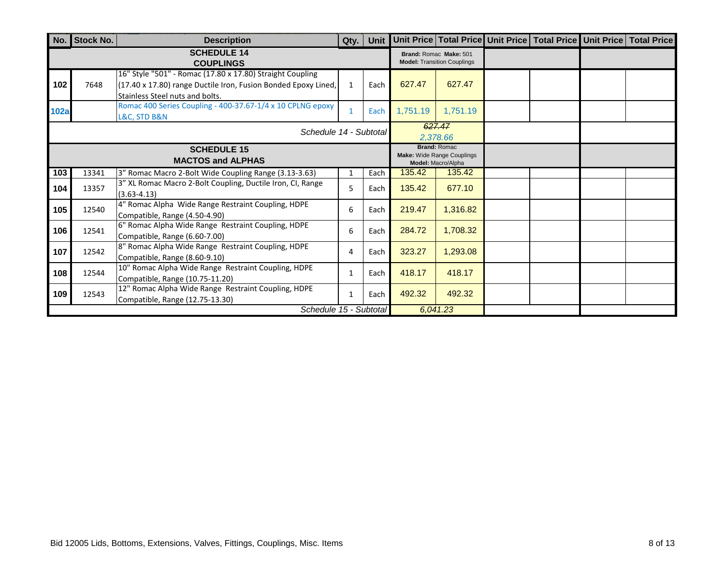| No.                                            | <b>Stock No.</b>       | <b>Description</b>                                                                                                                                             | Qty.         | Unit |          |                                                                         |  | Unit Price   Total Price   Unit Price   Total Price   Unit Price   Total Price |
|------------------------------------------------|------------------------|----------------------------------------------------------------------------------------------------------------------------------------------------------------|--------------|------|----------|-------------------------------------------------------------------------|--|--------------------------------------------------------------------------------|
|                                                |                        | <b>SCHEDULE 14</b><br><b>COUPLINGS</b>                                                                                                                         |              |      |          | Brand: Romac Make: 501<br><b>Model: Transition Couplings</b>            |  |                                                                                |
| 102                                            | 7648                   | 16" Style "501" - Romac (17.80 x 17.80) Straight Coupling<br>(17.40 x 17.80) range Ductile Iron, Fusion Bonded Epoxy Lined,<br>Stainless Steel nuts and bolts. | $\mathbf{1}$ | Each | 627.47   | 627.47                                                                  |  |                                                                                |
| <b>102a</b>                                    |                        | Romac 400 Series Coupling - 400-37.67-1/4 x 10 CPLNG epoxy<br>L&C, STD B&N                                                                                     | $\mathbf{1}$ | Each | 1,751.19 | 1,751.19                                                                |  |                                                                                |
|                                                |                        | Schedule 14 - Subtotal                                                                                                                                         |              |      |          | 627.47<br>2,378.66                                                      |  |                                                                                |
| <b>SCHEDULE 15</b><br><b>MACTOS and ALPHAS</b> |                        |                                                                                                                                                                |              |      |          | <b>Brand: Romac</b><br>Make: Wide Range Couplings<br>Model: Macro/Alpha |  |                                                                                |
| 103                                            | 13341                  | 3" Romac Macro 2-Bolt Wide Coupling Range (3.13-3.63)                                                                                                          |              | Each | 135.42   | 135.42                                                                  |  |                                                                                |
| 104                                            | 13357                  | 3" XL Romac Macro 2-Bolt Coupling, Ductile Iron, CI, Range<br>$(3.63 - 4.13)$                                                                                  | 5            | Each | 135.42   | 677.10                                                                  |  |                                                                                |
| 105                                            | 12540                  | 4" Romac Alpha Wide Range Restraint Coupling, HDPE<br>Compatible, Range (4.50-4.90)                                                                            | 6            | Each | 219.47   | 1,316.82                                                                |  |                                                                                |
| 106                                            | 12541                  | 6" Romac Alpha Wide Range Restraint Coupling, HDPE<br>Compatible, Range (6.60-7.00)                                                                            | 6            | Each | 284.72   | 1,708.32                                                                |  |                                                                                |
| 107                                            | 12542                  | 8" Romac Alpha Wide Range Restraint Coupling, HDPE<br>Compatible, Range (8.60-9.10)                                                                            | 4            | Each | 323.27   | 1,293.08                                                                |  |                                                                                |
| 108                                            | 12544                  | 10" Romac Alpha Wide Range Restraint Coupling, HDPE<br>Compatible, Range (10.75-11.20)                                                                         | 1            | Each | 418.17   | 418.17                                                                  |  |                                                                                |
| 109                                            | 12543                  | 12" Romac Alpha Wide Range Restraint Coupling, HDPE<br>Compatible, Range (12.75-13.30)                                                                         | $\mathbf{1}$ | Each | 492.32   | 492.32                                                                  |  |                                                                                |
|                                                | Schedule 15 - Subtotal |                                                                                                                                                                |              |      |          | 6,041.23                                                                |  |                                                                                |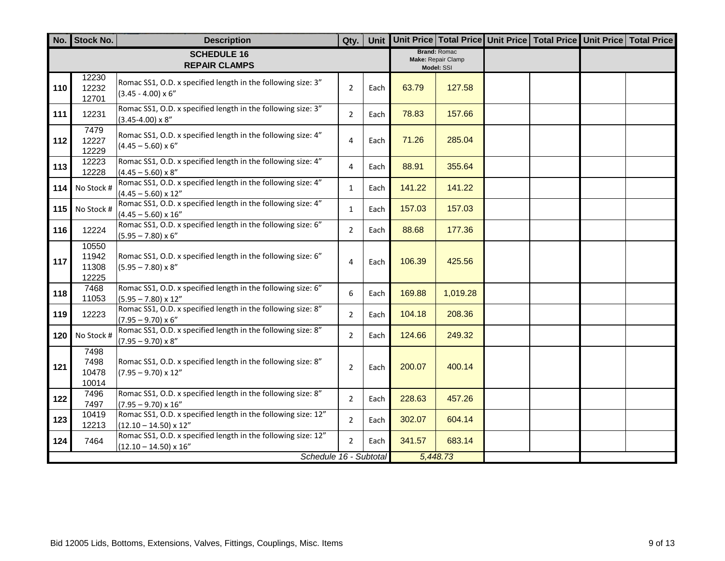|     | No. Stock No.                    | <b>Description</b>                                                                             | Qty.           | Unit |        |                                                         | Unit Price Total Price Unit Price Total Price Unit Price Total Price |  |
|-----|----------------------------------|------------------------------------------------------------------------------------------------|----------------|------|--------|---------------------------------------------------------|----------------------------------------------------------------------|--|
|     |                                  | <b>SCHEDULE 16</b><br><b>REPAIR CLAMPS</b>                                                     |                |      |        | <b>Brand: Romac</b><br>Make: Repair Clamp<br>Model: SSI |                                                                      |  |
| 110 | 12230<br>12232<br>12701          | Romac SS1, O.D. x specified length in the following size: 3"<br>$(3.45 - 4.00) \times 6$ "     | $\overline{2}$ | Each | 63.79  | 127.58                                                  |                                                                      |  |
| 111 | 12231                            | Romac SS1, O.D. x specified length in the following size: 3"<br>$(3.45 - 4.00) \times 8$ "     | $\overline{2}$ | Each | 78.83  | 157.66                                                  |                                                                      |  |
| 112 | 7479<br>12227<br>12229           | Romac SS1, O.D. x specified length in the following size: 4"<br>$(4.45 - 5.60) \times 6$ "     | 4              | Each | 71.26  | 285.04                                                  |                                                                      |  |
| 113 | 12223<br>12228                   | Romac SS1, O.D. x specified length in the following size: 4"<br>$(4.45 - 5.60) \times 8"$      | 4              | Each | 88.91  | 355.64                                                  |                                                                      |  |
| 114 | No Stock #                       | Romac SS1, O.D. x specified length in the following size: 4"<br>$(4.45 - 5.60) \times 12"$     | $\mathbf{1}$   | Each | 141.22 | 141.22                                                  |                                                                      |  |
| 115 | No Stock #                       | Romac SS1, O.D. x specified length in the following size: 4"<br>$(4.45 - 5.60) \times 16''$    | 1              | Each | 157.03 | 157.03                                                  |                                                                      |  |
| 116 | 12224                            | Romac SS1, O.D. x specified length in the following size: 6"<br>$(5.95 - 7.80) \times 6$ "     | $\overline{2}$ | Each | 88.68  | 177.36                                                  |                                                                      |  |
| 117 | 10550<br>11942<br>11308<br>12225 | Romac SS1, O.D. x specified length in the following size: 6"<br>$(5.95 - 7.80) \times 8$ "     | 4              | Each | 106.39 | 425.56                                                  |                                                                      |  |
| 118 | 7468<br>11053                    | Romac SS1, O.D. x specified length in the following size: 6"<br>$(5.95 - 7.80) \times 12"$     | 6              | Each | 169.88 | 1,019.28                                                |                                                                      |  |
| 119 | 12223                            | Romac SS1, O.D. x specified length in the following size: 8"<br>$(7.95 - 9.70) \times 6$ "     | $\overline{2}$ | Each | 104.18 | 208.36                                                  |                                                                      |  |
| 120 | No Stock #                       | Romac SS1, O.D. x specified length in the following size: 8"<br>$(7.95 - 9.70) \times 8"$      | $\overline{2}$ | Each | 124.66 | 249.32                                                  |                                                                      |  |
| 121 | 7498<br>7498<br>10478<br>10014   | Romac SS1, O.D. x specified length in the following size: 8"<br>$(7.95 - 9.70) \times 12''$    | $\overline{2}$ | Each | 200.07 | 400.14                                                  |                                                                      |  |
| 122 | 7496<br>7497                     | Romac SS1, O.D. x specified length in the following size: 8"<br>$(7.95 - 9.70) \times 16''$    | $\overline{2}$ | Each | 228.63 | 457.26                                                  |                                                                      |  |
| 123 | 10419<br>12213                   | Romac SS1, O.D. x specified length in the following size: 12"<br>$(12.10 - 14.50) \times 12"$  | $\overline{2}$ | Each | 302.07 | 604.14                                                  |                                                                      |  |
| 124 | 7464                             | Romac SS1, O.D. x specified length in the following size: 12"<br>$(12.10 - 14.50) \times 16$ " | $\overline{2}$ | Each | 341.57 | 683.14                                                  |                                                                      |  |
|     |                                  | Schedule 16 - Subtotal                                                                         |                |      |        | 5,448.73                                                |                                                                      |  |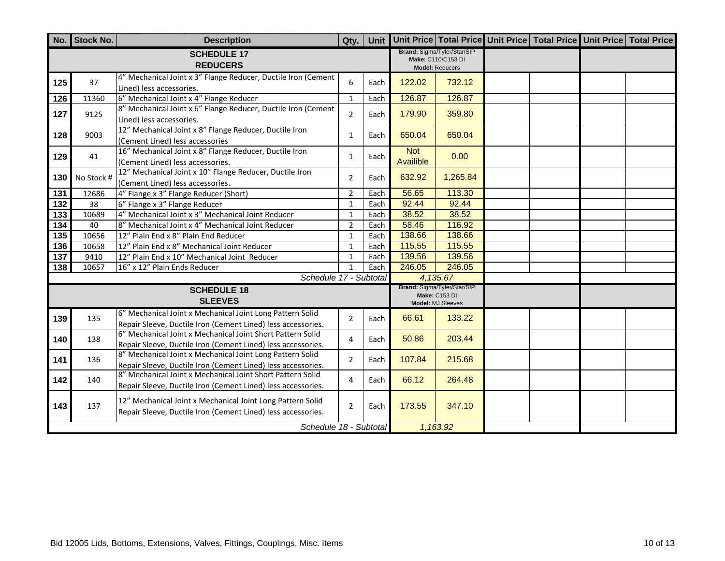|                  | No. Stock No. | <b>Description</b>                                                                                                         | Qty.           |      |                         |                                                                             | Unit Unit Price Total Price Unit Price Total Price Unit Price Total Price |  |
|------------------|---------------|----------------------------------------------------------------------------------------------------------------------------|----------------|------|-------------------------|-----------------------------------------------------------------------------|---------------------------------------------------------------------------|--|
|                  |               | <b>SCHEDULE 17</b><br><b>REDUCERS</b>                                                                                      |                |      |                         | Brand: Sigma/Tyler/Star/SIP<br>Make: C110/C153 DI<br><b>Model: Reducers</b> |                                                                           |  |
| 125              | 37            | 4" Mechanical Joint x 3" Flange Reducer, Ductile Iron (Cement<br>Lined) less accessories.                                  | 6              | Each | 122.02                  | 732.12                                                                      |                                                                           |  |
| $\frac{1}{26}$   | 11360         | 6" Mechanical Joint x 4" Flange Reducer                                                                                    | $\mathbf{1}$   | Each | 126.87                  | 126.87                                                                      |                                                                           |  |
| 127              | 9125          | 8" Mechanical Joint x 6" Flange Reducer, Ductile Iron (Cement<br>Lined) less accessories.                                  | $\overline{2}$ | Each | 179.90                  | 359.80                                                                      |                                                                           |  |
| 128              | 9003          | 12" Mechanical Joint x 8" Flange Reducer, Ductile Iron<br>(Cement Lined) less accessories                                  | $\mathbf{1}$   | Each | 650.04                  | 650.04                                                                      |                                                                           |  |
| 129              | 41            | 16" Mechanical Joint x 8" Flange Reducer, Ductile Iron<br>(Cement Lined) less accessories.                                 | $\mathbf{1}$   | Each | <b>Not</b><br>Availible | 0.00                                                                        |                                                                           |  |
| 130              | No Stock #    | 12" Mechanical Joint x 10" Flange Reducer, Ductile Iron<br>(Cement Lined) less accessories.                                | $\overline{2}$ | Each | 632.92                  | 1,265.84                                                                    |                                                                           |  |
| 131              | 12686         | 4" Flange x 3" Flange Reducer (Short)                                                                                      | $\overline{2}$ | Each | 56.65                   | 113.30                                                                      |                                                                           |  |
| $\overline{132}$ | 38            | 6" Flange x 3" Flange Reducer                                                                                              | $\mathbf{1}$   | Each | 92.44                   | 92.44                                                                       |                                                                           |  |
| $\overline{133}$ | 10689         | 4" Mechanical Joint x 3" Mechanical Joint Reducer                                                                          | $\mathbf{1}$   | Each | 38.52                   | 38.52                                                                       |                                                                           |  |
| 134              | 40            | 8" Mechanical Joint x 4" Mechanical Joint Reducer                                                                          | $\overline{2}$ | Each | 58.46                   | 116.92                                                                      |                                                                           |  |
| 135              | 10656         | 12" Plain End x 8" Plain End Reducer                                                                                       | $\mathbf 1$    | Each | 138.66                  | 138.66                                                                      |                                                                           |  |
| 136              | 10658         | 12" Plain End x 8" Mechanical Joint Reducer                                                                                | $\mathbf{1}$   | Each | 115.55                  | 115.55                                                                      |                                                                           |  |
| 137              | 9410          | 12" Plain End x 10" Mechanical Joint Reducer                                                                               | $\mathbf{1}$   | Each | 139.56                  | 139.56                                                                      |                                                                           |  |
| 138              | 10657         | 16" x 12" Plain Ends Reducer                                                                                               | $\mathbf{1}$   | Each | 246.05                  | 246.05                                                                      |                                                                           |  |
|                  |               | Schedule 17 - Subtotal                                                                                                     |                |      |                         | 4,135.67                                                                    |                                                                           |  |
|                  |               | <b>SCHEDULE 18</b><br><b>SLEEVES</b>                                                                                       |                |      |                         | Brand: Sigma/Tyler/Star/SIP<br><b>Make: C153 DI</b><br>Model: MJ Sleeves    |                                                                           |  |
| 139              | 135           | 6" Mechanical Joint x Mechanical Joint Long Pattern Solid<br>Repair Sleeve, Ductile Iron (Cement Lined) less accessories.  | $\overline{2}$ | Each | 66.61                   | 133.22                                                                      |                                                                           |  |
| 140              | 138           | 6" Mechanical Joint x Mechanical Joint Short Pattern Solid<br>Repair Sleeve, Ductile Iron (Cement Lined) less accessories. | 4              | Each | 50.86                   | 203.44                                                                      |                                                                           |  |
| 141              | 136           | 8" Mechanical Joint x Mechanical Joint Long Pattern Solid<br>Repair Sleeve, Ductile Iron (Cement Lined) less accessories.  | $\overline{2}$ | Each | 107.84                  | 215.68                                                                      |                                                                           |  |
| 142              | 140           | 8" Mechanical Joint x Mechanical Joint Short Pattern Solid<br>Repair Sleeve, Ductile Iron (Cement Lined) less accessories. | 4              | Each | 66.12                   | 264.48                                                                      |                                                                           |  |
| 143              | 137           | 12" Mechanical Joint x Mechanical Joint Long Pattern Solid<br>Repair Sleeve, Ductile Iron (Cement Lined) less accessories. | $\overline{2}$ | Each | 173.55                  | 347.10                                                                      |                                                                           |  |
|                  |               | Schedule 18 - Subtotal                                                                                                     |                |      |                         | 1,163.92                                                                    |                                                                           |  |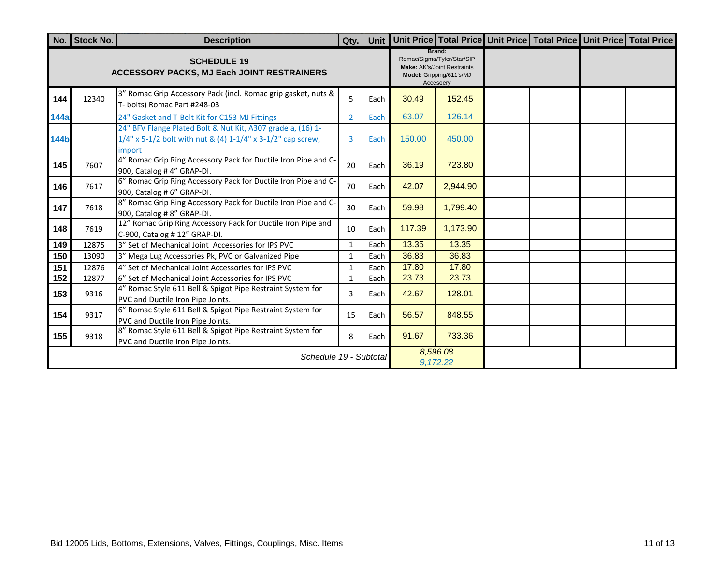|             | No. Stock No.          | <b>Description</b>                                                                                                                      | Qty.           | Unit |        |                                                                                                                     | Unit Price Total Price Unit Price Total Price Unit Price Total Price |  |
|-------------|------------------------|-----------------------------------------------------------------------------------------------------------------------------------------|----------------|------|--------|---------------------------------------------------------------------------------------------------------------------|----------------------------------------------------------------------|--|
|             |                        | <b>SCHEDULE 19</b><br><b>ACCESSORY PACKS, MJ Each JOINT RESTRAINERS</b>                                                                 |                |      |        | Brand:<br>Romac/Sigma/Tyler/Star/SIP<br><b>Make: AK's/Joint Restraints</b><br>Model: Gripping/611's/MJ<br>Accesoery |                                                                      |  |
| 144         | 12340                  | 3" Romac Grip Accessory Pack (incl. Romac grip gasket, nuts &<br>T- bolts) Romac Part #248-03                                           | 5              | Each | 30.49  | 152.45                                                                                                              |                                                                      |  |
| <b>144a</b> |                        | 24" Gasket and T-Bolt Kit for C153 MJ Fittings                                                                                          | $\overline{2}$ | Each | 63.07  | 126.14                                                                                                              |                                                                      |  |
| <b>144b</b> |                        | 24" BFV Flange Plated Bolt & Nut Kit, A307 grade a, (16) 1-<br>$1/4$ " x 5-1/2 bolt with nut & (4) 1-1/4" x 3-1/2" cap screw,<br>import | 3              | Each | 150.00 | 450.00                                                                                                              |                                                                      |  |
| 145         | 7607                   | 4" Romac Grip Ring Accessory Pack for Ductile Iron Pipe and C-<br>900, Catalog #4" GRAP-DI.                                             | 20             | Each | 36.19  | 723.80                                                                                                              |                                                                      |  |
| 146         | 7617                   | 6" Romac Grip Ring Accessory Pack for Ductile Iron Pipe and C-<br>900, Catalog #6" GRAP-DI.                                             | 70             | Each | 42.07  | 2,944.90                                                                                                            |                                                                      |  |
| 147         | 7618                   | 8" Romac Grip Ring Accessory Pack for Ductile Iron Pipe and C-<br>900, Catalog #8" GRAP-DI.                                             | 30             | Each | 59.98  | 1,799.40                                                                                                            |                                                                      |  |
| 148         | 7619                   | 12" Romac Grip Ring Accessory Pack for Ductile Iron Pipe and<br>C-900, Catalog # 12" GRAP-DI.                                           | 10             | Each | 117.39 | 1,173.90                                                                                                            |                                                                      |  |
| 149         | 12875                  | 3" Set of Mechanical Joint Accessories for IPS PVC                                                                                      | $\mathbf{1}$   | Each | 13.35  | 13.35                                                                                                               |                                                                      |  |
| 150         | 13090                  | 3"-Mega Lug Accessories Pk, PVC or Galvanized Pipe                                                                                      | $\mathbf{1}$   | Each | 36.83  | 36.83                                                                                                               |                                                                      |  |
| 151         | 12876                  | 4" Set of Mechanical Joint Accessories for IPS PVC                                                                                      | $\mathbf{1}$   | Each | 17.80  | 17.80                                                                                                               |                                                                      |  |
| 152         | 12877                  | 6" Set of Mechanical Joint Accessories for IPS PVC                                                                                      | $\mathbf{1}$   | Each | 23.73  | 23.73                                                                                                               |                                                                      |  |
| 153         | 9316                   | 4" Romac Style 611 Bell & Spigot Pipe Restraint System for<br>PVC and Ductile Iron Pipe Joints.                                         | 3              | Each | 42.67  | 128.01                                                                                                              |                                                                      |  |
| 154         | 9317                   | 6" Romac Style 611 Bell & Spigot Pipe Restraint System for<br>PVC and Ductile Iron Pipe Joints.                                         | 15             | Each | 56.57  | 848.55                                                                                                              |                                                                      |  |
| 155         | 9318                   | 8" Romac Style 611 Bell & Spigot Pipe Restraint System for<br>PVC and Ductile Iron Pipe Joints.                                         | 8              | Each | 91.67  | 733.36                                                                                                              |                                                                      |  |
|             | Schedule 19 - Subtotal |                                                                                                                                         |                |      |        | 8,596.08<br>9,172.22                                                                                                |                                                                      |  |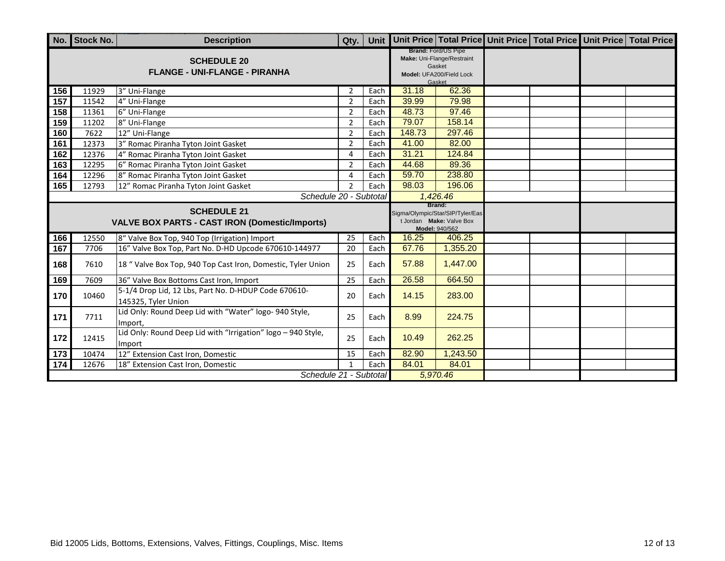|                 | No. Stock No. | <b>Description</b>                                                          | Qty.           |      |        |                                                                                                          |  | Unit Unit Price Total Price Unit Price Total Price Unit Price Total Price |
|-----------------|---------------|-----------------------------------------------------------------------------|----------------|------|--------|----------------------------------------------------------------------------------------------------------|--|---------------------------------------------------------------------------|
|                 |               | <b>SCHEDULE 20</b><br><b>FLANGE - UNI-FLANGE - PIRANHA</b>                  |                |      |        | <b>Brand: Ford/US Pipe</b><br>Make: Uni-Flange/Restraint<br>Gasket<br>Model: UFA200/Field Lock<br>Gasket |  |                                                                           |
| 156             | 11929         | 3" Uni-Flange                                                               | $\overline{2}$ | Each | 31.18  | 62.36                                                                                                    |  |                                                                           |
| 157             | 11542         | 4" Uni-Flange                                                               | $\overline{2}$ | Each | 39.99  | 79.98                                                                                                    |  |                                                                           |
| 158             | 11361         | 6" Uni-Flange                                                               | $\overline{2}$ | Each | 48.73  | 97.46                                                                                                    |  |                                                                           |
| 159             | 11202         | 8" Uni-Flange                                                               | $\overline{2}$ | Each | 79.07  | 158.14                                                                                                   |  |                                                                           |
| 160             | 7622          | 12" Uni-Flange                                                              | 2              | Each | 148.73 | 297.46                                                                                                   |  |                                                                           |
| 161             | 12373         | 3" Romac Piranha Tyton Joint Gasket                                         | $\overline{2}$ | Each | 41.00  | 82.00                                                                                                    |  |                                                                           |
| $\frac{162}{ }$ | 12376         | 4" Romac Piranha Tyton Joint Gasket                                         | 4              | Each | 31.21  | 124.84                                                                                                   |  |                                                                           |
| 163             | 12295         | 6" Romac Piranha Tyton Joint Gasket                                         | $\overline{2}$ | Each | 44.68  | 89.36                                                                                                    |  |                                                                           |
| 164             | 12296         | 8" Romac Piranha Tyton Joint Gasket                                         | 4              | Each | 59.70  | 238.80                                                                                                   |  |                                                                           |
| 165             | 12793         | 12" Romac Piranha Tyton Joint Gasket                                        | $\overline{2}$ | Each | 98.03  | 196.06                                                                                                   |  |                                                                           |
|                 |               | Schedule 20 - Subtotal                                                      |                |      |        | 1,426.46                                                                                                 |  |                                                                           |
|                 |               | <b>SCHEDULE 21</b><br><b>VALVE BOX PARTS - CAST IRON (Domestic/Imports)</b> |                |      |        | Brand:<br>Sigma/Olympic/Star/SIP/Tyler/Eas<br>t Jordan Make: Valve Box<br>Model: 940/562                 |  |                                                                           |
| 166             | 12550         | 8" Valve Box Top, 940 Top (Irrigation) Import                               | 25             | Each | 16.25  | 406.25                                                                                                   |  |                                                                           |
| 167             | 7706          | 16" Valve Box Top, Part No. D-HD Upcode 670610-144977                       | 20             | Each | 67.76  | 1,355.20                                                                                                 |  |                                                                           |
| 168             | 7610          | 18 " Valve Box Top, 940 Top Cast Iron, Domestic, Tyler Union                | 25             | Each | 57.88  | 1,447.00                                                                                                 |  |                                                                           |
| 169             | 7609          | 36" Valve Box Bottoms Cast Iron, Import                                     | 25             | Each | 26.58  | 664.50                                                                                                   |  |                                                                           |
| 170             | 10460         | 5-1/4 Drop Lid, 12 Lbs, Part No. D-HDUP Code 670610-<br>145325, Tyler Union | 20             | Each | 14.15  | 283.00                                                                                                   |  |                                                                           |
| 171             | 7711          | Lid Only: Round Deep Lid with "Water" logo- 940 Style,<br>Import,           | 25             | Each | 8.99   | 224.75                                                                                                   |  |                                                                           |
| 172             | 12415         | Lid Only: Round Deep Lid with "Irrigation" logo - 940 Style,<br>Import      | 25             | Each | 10.49  | 262.25                                                                                                   |  |                                                                           |
| 173             | 10474         | 12" Extension Cast Iron, Domestic                                           | 15             | Each | 82.90  | 1,243.50                                                                                                 |  |                                                                           |
| 174             | 12676         | 18" Extension Cast Iron, Domestic                                           |                | Each | 84.01  | 84.01                                                                                                    |  |                                                                           |
|                 |               | Schedule 21 - Subtotal                                                      |                |      |        | 5,970.46                                                                                                 |  |                                                                           |